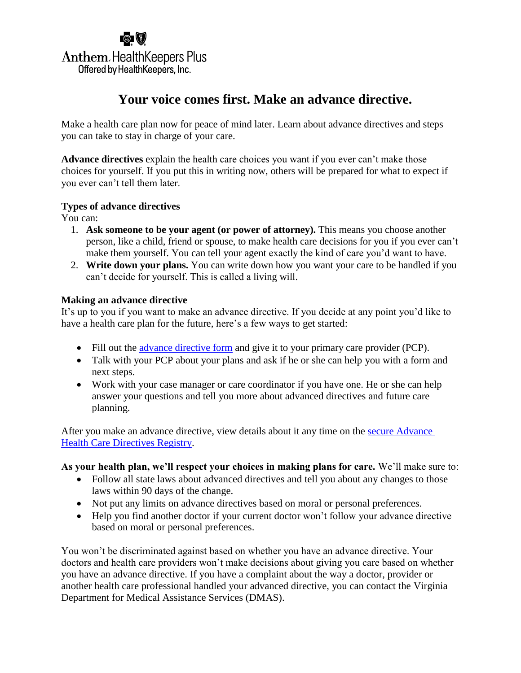## 鹵(7) **Anthem. Health Keepers Plus** Offered by HealthKeepers, Inc.

## **Your voice comes first. Make an advance directive.**

Make a health care plan now for peace of mind later. Learn about advance directives and steps you can take to stay in charge of your care.

**Advance directives** explain the health care choices you want if you ever can't make those choices for yourself. If you put this in writing now, others will be prepared for what to expect if you ever can't tell them later.

### **Types of advance directives**

You can:

- 1. **Ask someone to be your agent (or power of attorney).** This means you choose another person, like a child, friend or spouse, to make health care decisions for you if you ever can't make them yourself. You can tell your agent exactly the kind of care you'd want to have.
- 2. **Write down your plans.** You can write down how you want your care to be handled if you can't decide for yourself. This is called a living will.

### **Making an advance directive**

It's up to you if you want to make an advance directive. If you decide at any point you'd like to have a health care plan for the future, here's a few ways to get started:

- Fill out the [advance directive form](http://www.vsb.org/sections/hl/2012_VA_AMD_Simplifed-Basic.PDF) and give it to your primary care provider (PCP).
- Talk with your PCP about your plans and ask if he or she can help you with a form and next steps.
- Work with your case manager or care coordinator if you have one. He or she can help answer your questions and tell you more about advanced directives and future care planning.

After you make an advance directive, view details about it any time on the [secure Advance](https://www.connectvirginia.org/adr/)  [Health Care Directives Registry.](https://www.connectvirginia.org/adr/)

### **As your health plan, we'll respect your choices in making plans for care.** We'll make sure to:

- Follow all state laws about advanced directives and tell you about any changes to those laws within 90 days of the change.
- Not put any limits on advance directives based on moral or personal preferences.
- Help you find another doctor if your current doctor won't follow your advance directive based on moral or personal preferences.

You won't be discriminated against based on whether you have an advance directive. Your doctors and health care providers won't make decisions about giving you care based on whether you have an advance directive. If you have a complaint about the way a doctor, provider or another health care professional handled your advanced directive, you can contact the Virginia Department for Medical Assistance Services (DMAS).